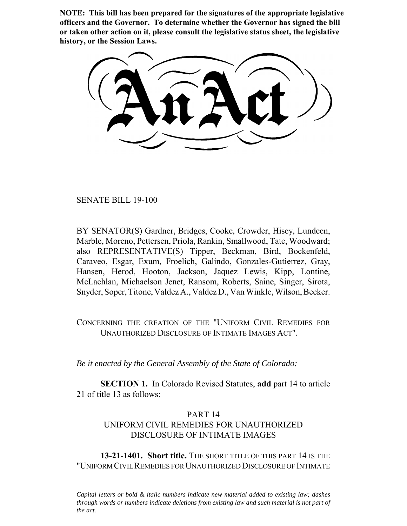**NOTE: This bill has been prepared for the signatures of the appropriate legislative officers and the Governor. To determine whether the Governor has signed the bill or taken other action on it, please consult the legislative status sheet, the legislative history, or the Session Laws.**

SENATE BILL 19-100

BY SENATOR(S) Gardner, Bridges, Cooke, Crowder, Hisey, Lundeen, Marble, Moreno, Pettersen, Priola, Rankin, Smallwood, Tate, Woodward; also REPRESENTATIVE(S) Tipper, Beckman, Bird, Bockenfeld, Caraveo, Esgar, Exum, Froelich, Galindo, Gonzales-Gutierrez, Gray, Hansen, Herod, Hooton, Jackson, Jaquez Lewis, Kipp, Lontine, McLachlan, Michaelson Jenet, Ransom, Roberts, Saine, Singer, Sirota, Snyder, Soper, Titone, Valdez A., Valdez D., Van Winkle, Wilson, Becker.

CONCERNING THE CREATION OF THE "UNIFORM CIVIL REMEDIES FOR UNAUTHORIZED DISCLOSURE OF INTIMATE IMAGES ACT".

*Be it enacted by the General Assembly of the State of Colorado:*

**SECTION 1.** In Colorado Revised Statutes, **add** part 14 to article 21 of title 13 as follows:

## PART 14 UNIFORM CIVIL REMEDIES FOR UNAUTHORIZED DISCLOSURE OF INTIMATE IMAGES

**13-21-1401. Short title.** THE SHORT TITLE OF THIS PART 14 IS THE "UNIFORM CIVIL REMEDIES FOR UNAUTHORIZED DISCLOSURE OF INTIMATE

*Capital letters or bold & italic numbers indicate new material added to existing law; dashes through words or numbers indicate deletions from existing law and such material is not part of the act.*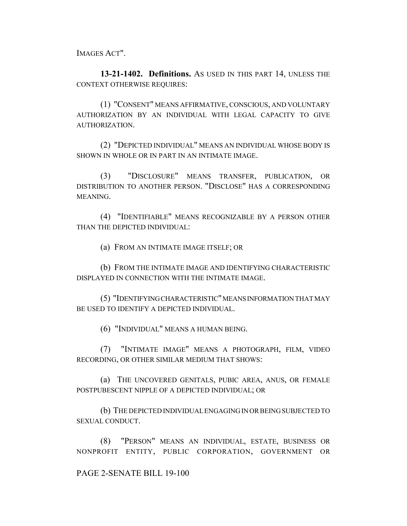IMAGES ACT".

**13-21-1402. Definitions.** AS USED IN THIS PART 14, UNLESS THE CONTEXT OTHERWISE REQUIRES:

(1) "CONSENT" MEANS AFFIRMATIVE, CONSCIOUS, AND VOLUNTARY AUTHORIZATION BY AN INDIVIDUAL WITH LEGAL CAPACITY TO GIVE AUTHORIZATION.

(2) "DEPICTED INDIVIDUAL" MEANS AN INDIVIDUAL WHOSE BODY IS SHOWN IN WHOLE OR IN PART IN AN INTIMATE IMAGE.

(3) "DISCLOSURE" MEANS TRANSFER, PUBLICATION, OR DISTRIBUTION TO ANOTHER PERSON. "DISCLOSE" HAS A CORRESPONDING MEANING.

(4) "IDENTIFIABLE" MEANS RECOGNIZABLE BY A PERSON OTHER THAN THE DEPICTED INDIVIDUAL:

(a) FROM AN INTIMATE IMAGE ITSELF; OR

(b) FROM THE INTIMATE IMAGE AND IDENTIFYING CHARACTERISTIC DISPLAYED IN CONNECTION WITH THE INTIMATE IMAGE.

(5) "IDENTIFYING CHARACTERISTIC" MEANS INFORMATION THAT MAY BE USED TO IDENTIFY A DEPICTED INDIVIDUAL.

(6) "INDIVIDUAL" MEANS A HUMAN BEING.

(7) "INTIMATE IMAGE" MEANS A PHOTOGRAPH, FILM, VIDEO RECORDING, OR OTHER SIMILAR MEDIUM THAT SHOWS:

(a) THE UNCOVERED GENITALS, PUBIC AREA, ANUS, OR FEMALE POSTPUBESCENT NIPPLE OF A DEPICTED INDIVIDUAL; OR

(b) THE DEPICTED INDIVIDUAL ENGAGING IN OR BEING SUBJECTED TO SEXUAL CONDUCT.

(8) "PERSON" MEANS AN INDIVIDUAL, ESTATE, BUSINESS OR NONPROFIT ENTITY, PUBLIC CORPORATION, GOVERNMENT OR

PAGE 2-SENATE BILL 19-100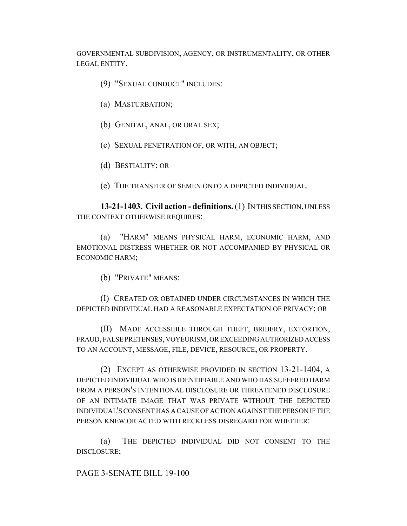GOVERNMENTAL SUBDIVISION, AGENCY, OR INSTRUMENTALITY, OR OTHER LEGAL ENTITY.

- (9) "SEXUAL CONDUCT" INCLUDES:
- (a) MASTURBATION;
- (b) GENITAL, ANAL, OR ORAL SEX;
- (c) SEXUAL PENETRATION OF, OR WITH, AN OBJECT;
- (d) BESTIALITY; OR
- (e) THE TRANSFER OF SEMEN ONTO A DEPICTED INDIVIDUAL.

**13-21-1403. Civil action - definitions.** (1) IN THIS SECTION, UNLESS THE CONTEXT OTHERWISE REQUIRES:

(a) "HARM" MEANS PHYSICAL HARM, ECONOMIC HARM, AND EMOTIONAL DISTRESS WHETHER OR NOT ACCOMPANIED BY PHYSICAL OR ECONOMIC HARM;

(b) "PRIVATE" MEANS:

(I) CREATED OR OBTAINED UNDER CIRCUMSTANCES IN WHICH THE DEPICTED INDIVIDUAL HAD A REASONABLE EXPECTATION OF PRIVACY; OR

(II) MADE ACCESSIBLE THROUGH THEFT, BRIBERY, EXTORTION, FRAUD, FALSE PRETENSES, VOYEURISM, OR EXCEEDING AUTHORIZED ACCESS TO AN ACCOUNT, MESSAGE, FILE, DEVICE, RESOURCE, OR PROPERTY.

(2) EXCEPT AS OTHERWISE PROVIDED IN SECTION 13-21-1404, A DEPICTED INDIVIDUAL WHO IS IDENTIFIABLE AND WHO HAS SUFFERED HARM FROM A PERSON'S INTENTIONAL DISCLOSURE OR THREATENED DISCLOSURE OF AN INTIMATE IMAGE THAT WAS PRIVATE WITHOUT THE DEPICTED INDIVIDUAL'S CONSENT HAS A CAUSE OF ACTION AGAINST THE PERSON IF THE PERSON KNEW OR ACTED WITH RECKLESS DISREGARD FOR WHETHER:

(a) THE DEPICTED INDIVIDUAL DID NOT CONSENT TO THE DISCLOSURE;

PAGE 3-SENATE BILL 19-100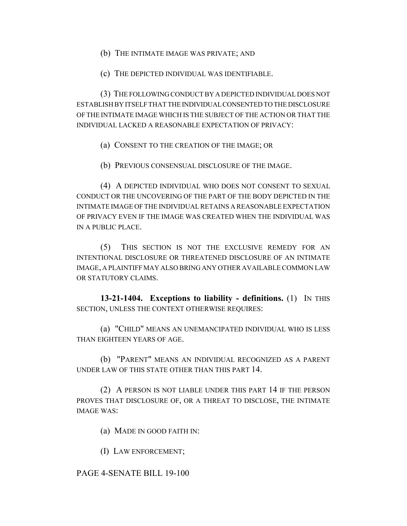(b) THE INTIMATE IMAGE WAS PRIVATE; AND

(c) THE DEPICTED INDIVIDUAL WAS IDENTIFIABLE.

(3) THE FOLLOWING CONDUCT BY A DEPICTED INDIVIDUAL DOES NOT ESTABLISH BY ITSELF THAT THE INDIVIDUAL CONSENTED TO THE DISCLOSURE OF THE INTIMATE IMAGE WHICH IS THE SUBJECT OF THE ACTION OR THAT THE INDIVIDUAL LACKED A REASONABLE EXPECTATION OF PRIVACY:

(a) CONSENT TO THE CREATION OF THE IMAGE; OR

(b) PREVIOUS CONSENSUAL DISCLOSURE OF THE IMAGE.

(4) A DEPICTED INDIVIDUAL WHO DOES NOT CONSENT TO SEXUAL CONDUCT OR THE UNCOVERING OF THE PART OF THE BODY DEPICTED IN THE INTIMATE IMAGE OF THE INDIVIDUAL RETAINS A REASONABLE EXPECTATION OF PRIVACY EVEN IF THE IMAGE WAS CREATED WHEN THE INDIVIDUAL WAS IN A PUBLIC PLACE.

(5) THIS SECTION IS NOT THE EXCLUSIVE REMEDY FOR AN INTENTIONAL DISCLOSURE OR THREATENED DISCLOSURE OF AN INTIMATE IMAGE, A PLAINTIFF MAY ALSO BRING ANY OTHER AVAILABLE COMMON LAW OR STATUTORY CLAIMS.

**13-21-1404. Exceptions to liability - definitions.** (1) IN THIS SECTION, UNLESS THE CONTEXT OTHERWISE REQUIRES:

(a) "CHILD" MEANS AN UNEMANCIPATED INDIVIDUAL WHO IS LESS THAN EIGHTEEN YEARS OF AGE.

(b) "PARENT" MEANS AN INDIVIDUAL RECOGNIZED AS A PARENT UNDER LAW OF THIS STATE OTHER THAN THIS PART 14.

(2) A PERSON IS NOT LIABLE UNDER THIS PART 14 IF THE PERSON PROVES THAT DISCLOSURE OF, OR A THREAT TO DISCLOSE, THE INTIMATE IMAGE WAS:

(a) MADE IN GOOD FAITH IN:

(I) LAW ENFORCEMENT;

## PAGE 4-SENATE BILL 19-100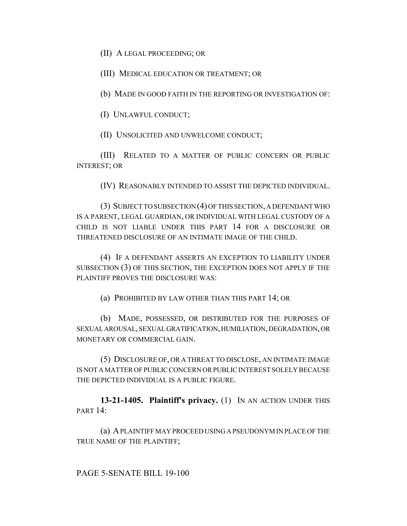(II) A LEGAL PROCEEDING; OR

(III) MEDICAL EDUCATION OR TREATMENT; OR

(b) MADE IN GOOD FAITH IN THE REPORTING OR INVESTIGATION OF:

(I) UNLAWFUL CONDUCT;

(II) UNSOLICITED AND UNWELCOME CONDUCT;

(III) RELATED TO A MATTER OF PUBLIC CONCERN OR PUBLIC INTEREST; OR

(IV) REASONABLY INTENDED TO ASSIST THE DEPICTED INDIVIDUAL.

(3) SUBJECT TO SUBSECTION (4) OF THIS SECTION, A DEFENDANT WHO IS A PARENT, LEGAL GUARDIAN, OR INDIVIDUAL WITH LEGAL CUSTODY OF A CHILD IS NOT LIABLE UNDER THIS PART 14 FOR A DISCLOSURE OR THREATENED DISCLOSURE OF AN INTIMATE IMAGE OF THE CHILD.

(4) IF A DEFENDANT ASSERTS AN EXCEPTION TO LIABILITY UNDER SUBSECTION (3) OF THIS SECTION, THE EXCEPTION DOES NOT APPLY IF THE PLAINTIFF PROVES THE DISCLOSURE WAS:

(a) PROHIBITED BY LAW OTHER THAN THIS PART 14; OR

(b) MADE, POSSESSED, OR DISTRIBUTED FOR THE PURPOSES OF SEXUAL AROUSAL, SEXUAL GRATIFICATION, HUMILIATION, DEGRADATION, OR MONETARY OR COMMERCIAL GAIN.

(5) DISCLOSURE OF, OR A THREAT TO DISCLOSE, AN INTIMATE IMAGE IS NOT A MATTER OF PUBLIC CONCERN OR PUBLIC INTEREST SOLELY BECAUSE THE DEPICTED INDIVIDUAL IS A PUBLIC FIGURE.

**13-21-1405. Plaintiff's privacy.** (1) IN AN ACTION UNDER THIS PART 14:

(a) A PLAINTIFF MAY PROCEED USING A PSEUDONYM IN PLACE OF THE TRUE NAME OF THE PLAINTIFF;

PAGE 5-SENATE BILL 19-100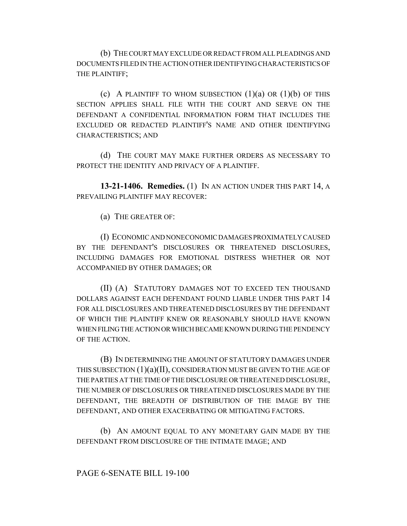(b) THE COURT MAY EXCLUDE OR REDACT FROM ALL PLEADINGS AND DOCUMENTS FILED IN THE ACTION OTHER IDENTIFYING CHARACTERISTICS OF THE PLAINTIFF;

(c) A PLAINTIFF TO WHOM SUBSECTION  $(1)(a)$  OR  $(1)(b)$  OF THIS SECTION APPLIES SHALL FILE WITH THE COURT AND SERVE ON THE DEFENDANT A CONFIDENTIAL INFORMATION FORM THAT INCLUDES THE EXCLUDED OR REDACTED PLAINTIFF'S NAME AND OTHER IDENTIFYING CHARACTERISTICS; AND

(d) THE COURT MAY MAKE FURTHER ORDERS AS NECESSARY TO PROTECT THE IDENTITY AND PRIVACY OF A PLAINTIFF.

**13-21-1406. Remedies.** (1) IN AN ACTION UNDER THIS PART 14, A PREVAILING PLAINTIFF MAY RECOVER:

(a) THE GREATER OF:

(I) ECONOMIC AND NONECONOMIC DAMAGES PROXIMATELY CAUSED BY THE DEFENDANT'S DISCLOSURES OR THREATENED DISCLOSURES, INCLUDING DAMAGES FOR EMOTIONAL DISTRESS WHETHER OR NOT ACCOMPANIED BY OTHER DAMAGES; OR

(II) (A) STATUTORY DAMAGES NOT TO EXCEED TEN THOUSAND DOLLARS AGAINST EACH DEFENDANT FOUND LIABLE UNDER THIS PART 14 FOR ALL DISCLOSURES AND THREATENED DISCLOSURES BY THE DEFENDANT OF WHICH THE PLAINTIFF KNEW OR REASONABLY SHOULD HAVE KNOWN WHEN FILING THE ACTION OR WHICH BECAME KNOWN DURING THE PENDENCY OF THE ACTION.

(B) IN DETERMINING THE AMOUNT OF STATUTORY DAMAGES UNDER THIS SUBSECTION  $(1)(a)(II)$ , CONSIDERATION MUST BE GIVEN TO THE AGE OF THE PARTIES AT THE TIME OF THE DISCLOSURE OR THREATENED DISCLOSURE, THE NUMBER OF DISCLOSURES OR THREATENED DISCLOSURES MADE BY THE DEFENDANT, THE BREADTH OF DISTRIBUTION OF THE IMAGE BY THE DEFENDANT, AND OTHER EXACERBATING OR MITIGATING FACTORS.

(b) AN AMOUNT EQUAL TO ANY MONETARY GAIN MADE BY THE DEFENDANT FROM DISCLOSURE OF THE INTIMATE IMAGE; AND

## PAGE 6-SENATE BILL 19-100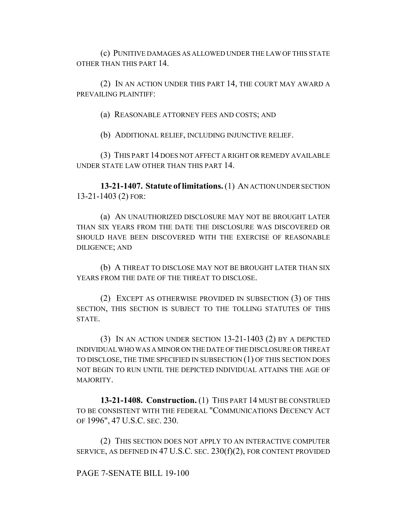(c) PUNITIVE DAMAGES AS ALLOWED UNDER THE LAW OF THIS STATE OTHER THAN THIS PART 14.

(2) IN AN ACTION UNDER THIS PART 14, THE COURT MAY AWARD A PREVAILING PLAINTIFF:

(a) REASONABLE ATTORNEY FEES AND COSTS; AND

(b) ADDITIONAL RELIEF, INCLUDING INJUNCTIVE RELIEF.

(3) THIS PART 14 DOES NOT AFFECT A RIGHT OR REMEDY AVAILABLE UNDER STATE LAW OTHER THAN THIS PART 14.

**13-21-1407. Statute of limitations.** (1) AN ACTION UNDER SECTION 13-21-1403 (2) FOR:

(a) AN UNAUTHORIZED DISCLOSURE MAY NOT BE BROUGHT LATER THAN SIX YEARS FROM THE DATE THE DISCLOSURE WAS DISCOVERED OR SHOULD HAVE BEEN DISCOVERED WITH THE EXERCISE OF REASONABLE DILIGENCE; AND

(b) A THREAT TO DISCLOSE MAY NOT BE BROUGHT LATER THAN SIX YEARS FROM THE DATE OF THE THREAT TO DISCLOSE.

(2) EXCEPT AS OTHERWISE PROVIDED IN SUBSECTION (3) OF THIS SECTION, THIS SECTION IS SUBJECT TO THE TOLLING STATUTES OF THIS STATE.

(3) IN AN ACTION UNDER SECTION 13-21-1403 (2) BY A DEPICTED INDIVIDUAL WHO WAS A MINOR ON THE DATE OF THE DISCLOSURE OR THREAT TO DISCLOSE, THE TIME SPECIFIED IN SUBSECTION (1) OF THIS SECTION DOES NOT BEGIN TO RUN UNTIL THE DEPICTED INDIVIDUAL ATTAINS THE AGE OF MAJORITY.

**13-21-1408. Construction.** (1) THIS PART 14 MUST BE CONSTRUED TO BE CONSISTENT WITH THE FEDERAL "COMMUNICATIONS DECENCY ACT OF 1996", 47 U.S.C. SEC. 230.

(2) THIS SECTION DOES NOT APPLY TO AN INTERACTIVE COMPUTER SERVICE, AS DEFINED IN 47 U.S.C. SEC. 230(f)(2), FOR CONTENT PROVIDED

PAGE 7-SENATE BILL 19-100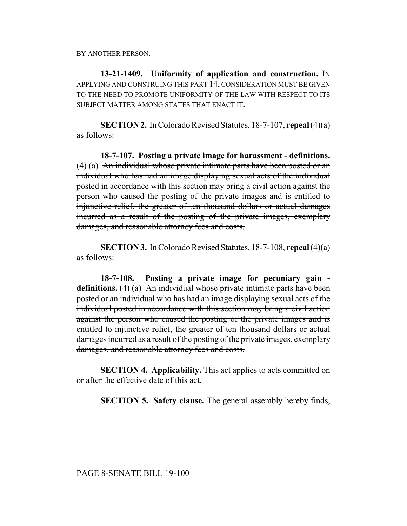BY ANOTHER PERSON.

**13-21-1409. Uniformity of application and construction.** IN APPLYING AND CONSTRUING THIS PART 14, CONSIDERATION MUST BE GIVEN TO THE NEED TO PROMOTE UNIFORMITY OF THE LAW WITH RESPECT TO ITS SUBJECT MATTER AMONG STATES THAT ENACT IT.

**SECTION 2.** In Colorado Revised Statutes, 18-7-107, **repeal** (4)(a) as follows:

**18-7-107. Posting a private image for harassment - definitions.** (4) (a) An individual whose private intimate parts have been posted or an individual who has had an image displaying sexual acts of the individual posted in accordance with this section may bring a civil action against the person who caused the posting of the private images and is entitled to injunctive relief, the greater of ten thousand dollars or actual damages incurred as a result of the posting of the private images, exemplary damages, and reasonable attorney fees and costs.

**SECTION 3.** In Colorado Revised Statutes, 18-7-108, **repeal** (4)(a) as follows:

**18-7-108. Posting a private image for pecuniary gain**  definitions. (4) (a) An individual whose private intimate parts have been posted or an individual who has had an image displaying sexual acts of the individual posted in accordance with this section may bring a civil action against the person who caused the posting of the private images and is entitled to injunctive relief, the greater of ten thousand dollars or actual damages incurred as a result of the posting of the private images, exemplary damages, and reasonable attorney fees and costs.

**SECTION 4. Applicability.** This act applies to acts committed on or after the effective date of this act.

**SECTION 5. Safety clause.** The general assembly hereby finds,